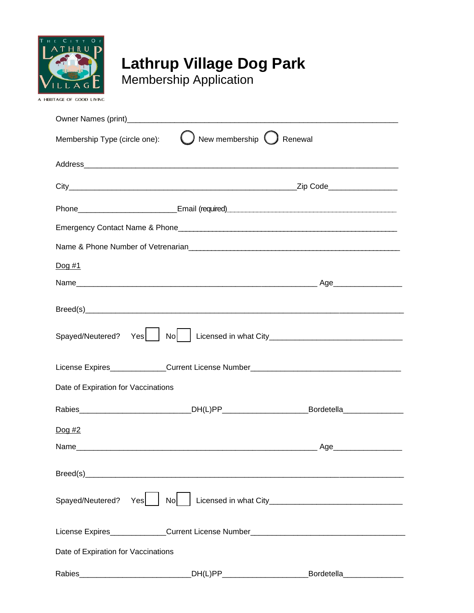

# **Lathrup Village Dog Park**

Membership Application

| New membership ( ) Renewal<br>Membership Type (circle one):                                                                                                                                                                    |                                                                                                     |                           |
|--------------------------------------------------------------------------------------------------------------------------------------------------------------------------------------------------------------------------------|-----------------------------------------------------------------------------------------------------|---------------------------|
|                                                                                                                                                                                                                                |                                                                                                     |                           |
|                                                                                                                                                                                                                                |                                                                                                     |                           |
|                                                                                                                                                                                                                                |                                                                                                     |                           |
|                                                                                                                                                                                                                                |                                                                                                     |                           |
|                                                                                                                                                                                                                                |                                                                                                     |                           |
| Dog #1                                                                                                                                                                                                                         |                                                                                                     |                           |
|                                                                                                                                                                                                                                |                                                                                                     |                           |
|                                                                                                                                                                                                                                |                                                                                                     |                           |
| Spayed/Neutered? Yes Spayed/Neutered? Yes Spayed/Neutered? Yes Spayed/Neutered? Yes Spayed/Neutered? Yes Spayed / Nollarge Records and Mollarge Records and Mollarge Records and Mollarge Records and Mollarge Records and Mol |                                                                                                     |                           |
|                                                                                                                                                                                                                                | License Expires______________Current License Number_____________________________                    |                           |
| Date of Expiration for Vaccinations                                                                                                                                                                                            |                                                                                                     |                           |
|                                                                                                                                                                                                                                | Rabies________________________________DH(L)PP___________________________Bordetella_________________ |                           |
| $\log H2$                                                                                                                                                                                                                      |                                                                                                     |                           |
|                                                                                                                                                                                                                                |                                                                                                     |                           |
|                                                                                                                                                                                                                                |                                                                                                     |                           |
| Spayed/Neutered? Yes                                                                                                                                                                                                           |                                                                                                     |                           |
|                                                                                                                                                                                                                                |                                                                                                     |                           |
| Date of Expiration for Vaccinations                                                                                                                                                                                            |                                                                                                     |                           |
|                                                                                                                                                                                                                                | Rabies__________________________________DH(L)PP_________________________________                    | Bordetella_______________ |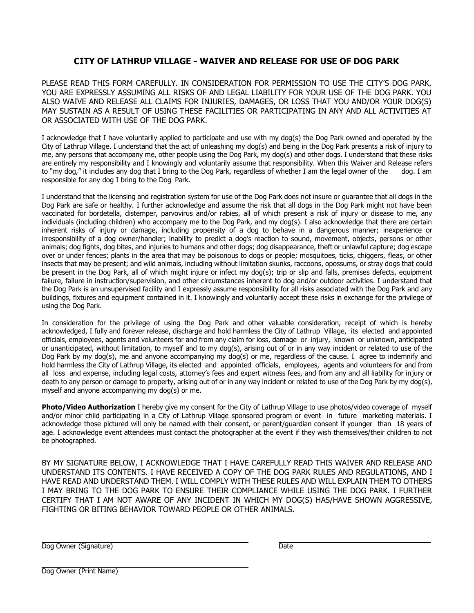#### **CITY OF LATHRUP VILLAGE - WAIVER AND RELEASE FOR USE OF DOG PARK**

PLEASE READ THIS FORM CAREFULLY. IN CONSIDERATION FOR PERMISSION TO USE THE CITY'S DOG PARK, YOU ARE EXPRESSLY ASSUMING ALL RISKS OF AND LEGAL LIABILITY FOR YOUR USE OF THE DOG PARK. YOU ALSO WAIVE AND RELEASE ALL CLAIMS FOR INJURIES, DAMAGES, OR LOSS THAT YOU AND/OR YOUR DOG(S) MAY SUSTAIN AS A RESULT OF USING THESE FACILITIES OR PARTICIPATING IN ANY AND ALL ACTIVITIES AT OR ASSOCIATED WITH USE OF THE DOG PARK.

I acknowledge that I have voluntarily applied to participate and use with my dog(s) the Dog Park owned and operated by the City of Lathrup Village. I understand that the act of unleashing my dog(s) and being in the Dog Park presents a risk of injury to me, any persons that accompany me, other people using the Dog Park, my dog(s) and other dogs. I understand that these risks are entirely my responsibility and I knowingly and voluntarily assume that responsibility. When this Waiver and Release refers to "my dog," it includes any dog that I bring to the Dog Park, regardless of whether I am the legal owner of the dog. I am responsible for any dog I bring to the Dog Park.

I understand that the licensing and registration system for use of the Dog Park does not insure or guarantee that all dogs in the Dog Park are safe or healthy. I further acknowledge and assume the risk that all dogs in the Dog Park might not have been vaccinated for bordetella, distemper, parvovirus and/or rabies, all of which present a risk of injury or disease to me, any individuals (including children) who accompany me to the Dog Park, and my dog(s). I also acknowledge that there are certain inherent risks of injury or damage, including propensity of a dog to behave in a dangerous manner; inexperience or irresponsibility of a dog owner/handler; inability to predict a dog's reaction to sound, movement, objects, persons or other animals; dog fights, dog bites, and injuries to humans and other dogs; dog disappearance, theft or unlawful capture; dog escape over or under fences; plants in the area that may be poisonous to dogs or people; mosquitoes, ticks, chiggers, fleas, or other insects that may be present; and wild animals, including without limitation skunks, raccoons, opossums, or stray dogs that could be present in the Dog Park, all of which might injure or infect my dog(s); trip or slip and falls, premises defects, equipment failure, failure in instruction/supervision, and other circumstances inherent to dog and/or outdoor activities. I understand that the Dog Park is an unsupervised facility and I expressly assume responsibility for all risks associated with the Dog Park and any buildings, fixtures and equipment contained in it. I knowingly and voluntarily accept these risks in exchange for the privilege of using the Dog Park.

In consideration for the privilege of using the Dog Park and other valuable consideration, receipt of which is hereby acknowledged, I fully and forever release, discharge and hold harmless the City of Lathrup Village, its elected and appointed officials, employees, agents and volunteers for and from any claim for loss, damage or injury, known or unknown, anticipated or unanticipated, without limitation, to myself and to my dog(s), arising out of or in any way incident or related to use of the Dog Park by my dog(s), me and anyone accompanying my dog(s) or me, regardless of the cause. I agree to indemnify and hold harmless the City of Lathrup Village, its elected and appointed officials, employees, agents and volunteers for and from all loss and expense, including legal costs, attorney's fees and expert witness fees, and from any and all liability for injury or death to any person or damage to property, arising out of or in any way incident or related to use of the Dog Park by my dog(s), myself and anyone accompanying my dog(s) or me.

**Photo/Video Authorization** I hereby give my consent for the City of Lathrup Village to use photos/video coverage of myself and/or minor child participating in a City of Lathrup Village sponsored program or event in future marketing materials. I acknowledge those pictured will only be named with their consent, or parent/guardian consent if younger than 18 years of age. I acknowledge event attendees must contact the photographer at the event if they wish themselves/their children to not be photographed.

BY MY SIGNATURE BELOW, I ACKNOWLEDGE THAT I HAVE CAREFULLY READ THIS WAIVER AND RELEASE AND UNDERSTAND ITS CONTENTS. I HAVE RECEIVED A COPY OF THE DOG PARK RULES AND REGULATIONS, AND I HAVE READ AND UNDERSTAND THEM. I WILL COMPLY WITH THESE RULES AND WILL EXPLAIN THEM TO OTHERS I MAY BRING TO THE DOG PARK TO ENSURE THEIR COMPLIANCE WHILE USING THE DOG PARK. I FURTHER CERTIFY THAT I AM NOT AWARE OF ANY INCIDENT IN WHICH MY DOG(S) HAS/HAVE SHOWN AGGRESSIVE, FIGHTING OR BITING BEHAVIOR TOWARD PEOPLE OR OTHER ANIMALS.

Dog Owner (Signature) Dog Owner (Signature)

Dog Owner (Print Name)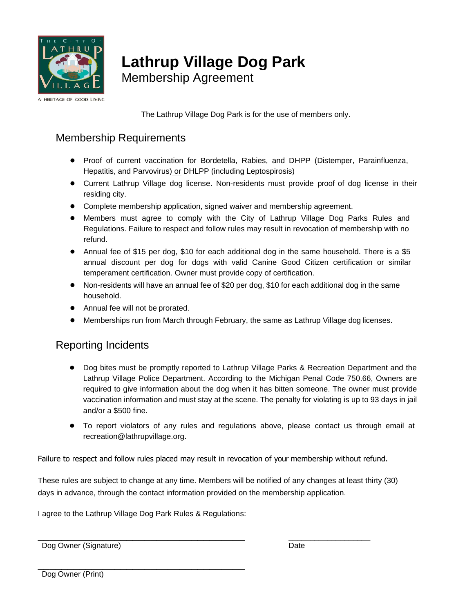

## **Lathrup Village Dog Park**

Membership Agreement

A HERITAGE OF GOOD LIVING

The Lathrup Village Dog Park is for the use of members only.

### Membership Requirements

- Proof of current vaccination for Bordetella, Rabies, and DHPP (Distemper, Parainfluenza, Hepatitis, and Parvovirus) or DHLPP (including Leptospirosis)
- Current Lathrup Village dog license. Non-residents must provide proof of dog license in their residing city.
- Complete membership application, signed waiver and membership agreement.
- Members must agree to comply with the City of Lathrup Village Dog Parks Rules and Regulations. Failure to respect and follow rules may result in revocation of membership with no refund.
- Annual fee of \$15 per dog, \$10 for each additional dog in the same household. There is a \$5 annual discount per dog for dogs with valid Canine Good Citizen certification or similar temperament certification. Owner must provide copy of certification.
- Non-residents will have an annual fee of \$20 per dog, \$10 for each additional dog in the same household.
- Annual fee will not be prorated.
- Memberships run from March through February, the same as Lathrup Village dog licenses.

#### Reporting Incidents

- Dog bites must be promptly reported to Lathrup Village Parks & Recreation Department and the Lathrup Village Police Department. According to the Michigan Penal Code 750.66, Owners are required to give information about the dog when it has bitten someone. The owner must provide vaccination information and must stay at the scene. The penalty for violating is up to 93 days in jail and/or a \$500 fine.
- To report violators of any rules and regulations above, please contact us through email at recreation@lathrupvillage.org.

Failure to respect and follow rules placed may result in revocation of your membership without refund.

These rules are subject to change at any time. Members will be notified of any changes at least thirty (30) days in advance, through the contact information provided on the membership application.

I agree to the Lathrup Village Dog Park Rules & Regulations:

\_\_\_\_\_\_\_\_\_\_\_\_\_\_\_\_\_\_\_\_\_\_\_\_\_\_\_\_\_\_\_\_\_\_\_

\_\_\_\_\_\_\_\_\_\_\_\_\_\_\_\_\_\_\_\_\_\_\_\_\_\_\_\_\_\_\_\_\_\_\_ \_\_\_\_\_\_\_\_\_\_\_\_\_\_\_\_\_\_\_ Dog Owner (Signature) Date